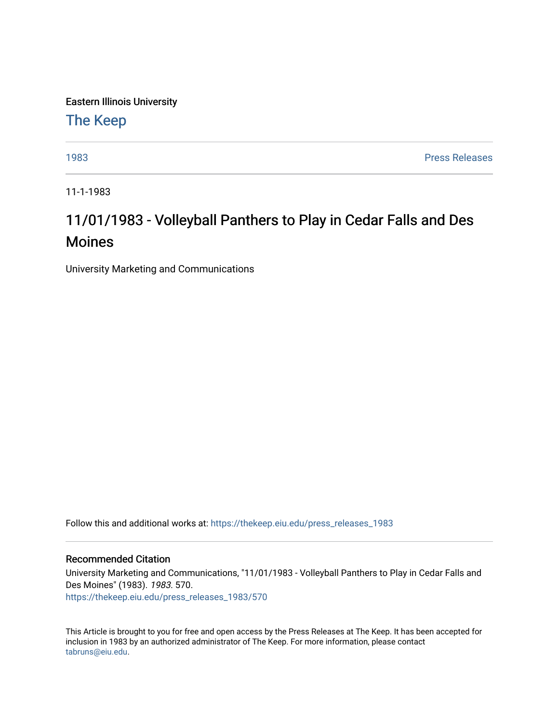Eastern Illinois University

[The Keep](https://thekeep.eiu.edu/) 

[1983](https://thekeep.eiu.edu/press_releases_1983) [Press Releases](https://thekeep.eiu.edu/press_releases_collection) 

11-1-1983

# 11/01/1983 - Volleyball Panthers to Play in Cedar Falls and Des Moines

University Marketing and Communications

Follow this and additional works at: [https://thekeep.eiu.edu/press\\_releases\\_1983](https://thekeep.eiu.edu/press_releases_1983?utm_source=thekeep.eiu.edu%2Fpress_releases_1983%2F570&utm_medium=PDF&utm_campaign=PDFCoverPages) 

### Recommended Citation

University Marketing and Communications, "11/01/1983 - Volleyball Panthers to Play in Cedar Falls and Des Moines" (1983). 1983. 570. [https://thekeep.eiu.edu/press\\_releases\\_1983/570](https://thekeep.eiu.edu/press_releases_1983/570?utm_source=thekeep.eiu.edu%2Fpress_releases_1983%2F570&utm_medium=PDF&utm_campaign=PDFCoverPages) 

This Article is brought to you for free and open access by the Press Releases at The Keep. It has been accepted for inclusion in 1983 by an authorized administrator of The Keep. For more information, please contact [tabruns@eiu.edu.](mailto:tabruns@eiu.edu)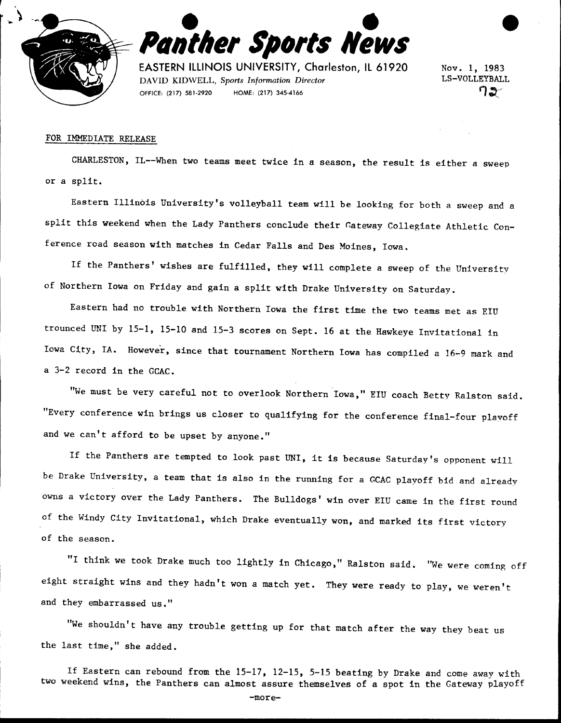



EASTERN IlliNOIS UNIVERSITY, Charleston, ll 61920 DAVID KIDWELL, *Sports Information Director*  OFFICE: (217) 581-2920 HOME: (217) 345-4166

Nov. 1, 1983 LS-VOLLEYBALL ີ 1ສ

#### FOR IMMEDIATE RELEASE

CHARLESTON, IL--When two teams meet twice in a season, the result is either a sweep or a split.

Eastern Illinois University's volleyball team will be looking for both a sweep and a split this weekend when the Lady Panthers conclude their Gateway Collegiate Athletic Conference road season with matches in Cedar Falls and Des Moines, Iowa.

If the Panthers' wishes are fulfilled, they will complete a sweep of the Universitv of Northern Iowa on Friday and gain a split with Drake University on Saturday.

Eastern had no trouble with Northern Iowa the first time the two teams met as EIU trounced UNI by 15-1, 15-10 and 15-3 scores on Sept. 16 at the Hawkeye Invitational in Iowa City, IA. However, since that tournament Northern Iowa has compiled a 16-9 mark and a 3-2 record in the GCAC.

"We must be very careful not to overlook Northern Iowa," EIU coach Betty Ralston said. "Every conference win brings us closer to qualifying for the conference final-four plavoff and we can't afford to be upset by anyone."

If the Panthers are tempted to look past UNI, it is because Saturday's opponent will be Drake University, a team that is also in the running for a GCAC playoff bid and already owns a victory over the Lady Panthers. The Bulldogs' win over EIU came in the first round of the Windy City Invitational, which Drake eventually won, and marked its first victory of the season.

"I think we took Drake much too lightly in Chicago," Ralston said. ''We were coming off eight straight wins and they hadn't won a match yet. They were ready to play, we weren't and they embarrassed us."

"We shouldn't have any trouble getting up for that match after the way they beat us the last time," she added.

If Eastern can rebound from the 15-17, 12-15, 5-15 beating by Drake and come away with two weekend wins, the Panthers can almost assure themselves of a spot in the Gateway playoff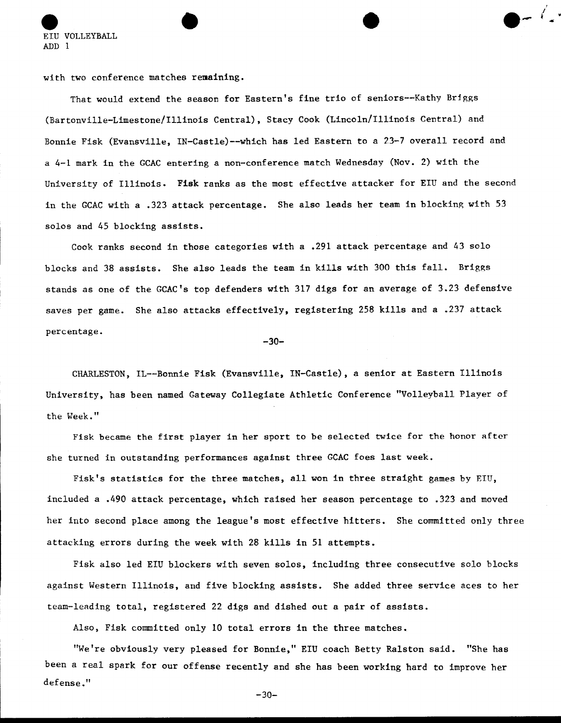eiu volleyball  $\bullet$  .  $\bullet$  . ADD 1

with two conference matches remaining.

That would extend the season for Eastern's fine trio of seniors--Kathy Briggs (Bartonville-Limestone/Illinois Central), Stacy Cook (Lincoln/Illinois Central) and Bonnie Fisk (Evansville, IN-Castle)--which has led Eastern to a 23-7 overall record and a 4-1 mark in the GCAC entering a non-conference match Wednesday (Nov. 2) with the University of Illinois. Fisk ranks as the most effective attacker for EIU and the second in the GCAC with a .323 attack percentage. She also leads her team in blocking with 53 solos and 45 blocking assists.

I

Cook ranks second in those categories with a .291 attack percentage and 43 solo blocks and 38 assists. She also leads the team in kills with 300 this fall. Briggs stands as one of the GCAC's top defenders with 317 digs for an average of 3.23 defensive saves per game. She also attacks effectively, registering 258 kills and a .237 attack percentage.

 $-30-$ 

CHARLESTON, IL--Bonnie Fisk (Evansville, IN-Castle), a senior at Eastern Illinois University, has been named Gateway Collegiate Athletic Conference "Volleyball Player of the Week."

Fisk became the first player in her sport to be selected twice for the honor after she turned in outstanding performances against three GCAC foes last week.

Fisk's statistics for the three matches, all won in three straight games by EIU, included a .490 attack percentage, which raised her season percentage to .323 and moved her into second place among the league's most effective hitters. She committed only three attacking errors during the week with 28 kills in 51 attempts.

Fisk also led EIU blockers with seven solos, including three consecutive solo blocks against Western Illinois, and five blocking assists. She added three service aces to her team-leading total, registered 22 digs and dished out a pair of assists.

Also, Fisk committed only 10 total errors in the three matches.

"We're obviously very pleased for Bonnie," EIU coach Betty Ralston said. "She has been a real spark for our offense recently and she has been working hard to improve her defense."

 $-30-$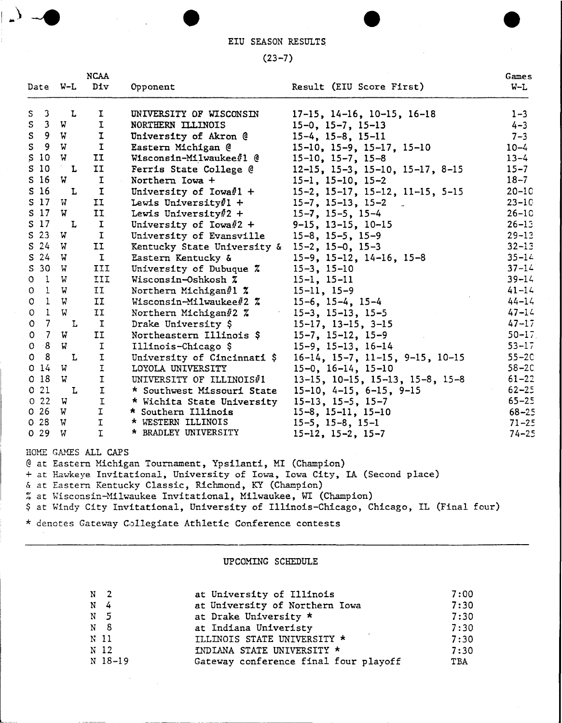EIU SEASON RESULTS

 $\overline{a}$ 

 $\mathbb{R}^2$ 

 $\mathcal{A}^{\mathcal{A}}$ 

## $(23 - 7)$

| Date W-L                       |             | <b>NCAA</b><br>Div  |                                                                                                                           |                                                                                         | Games     |  |
|--------------------------------|-------------|---------------------|---------------------------------------------------------------------------------------------------------------------------|-----------------------------------------------------------------------------------------|-----------|--|
|                                |             |                     | Opponent                                                                                                                  | Result (EIU Score First)                                                                | $W-L$     |  |
| S.                             | 3 L         | I.                  | UNIVERSITY OF WISCONSIN                                                                                                   | $17-15$ , $14-16$ , $10-15$ , $16-18$                                                   | $1 - 3$   |  |
| 3 <sub>1</sub><br>S            | W.          | $\mathbf I$         | NORTHERN ILLINOIS                                                                                                         | $15-0$ , $15-7$ , $15-13$                                                               | $4 - 3$   |  |
| ${\tt S}$<br>9 W               |             | $\mathbf I$         | University of Akron @                                                                                                     | $15-4$ , $15-8$ , $15-11$                                                               | $7 - 3$   |  |
| $\mathsf S$<br>9               | W           | $\mathbf I$         | Eastern Michigan @                                                                                                        | $15-10$ , $15-9$ , $15-17$ , $15-10$                                                    | $10 - 4$  |  |
| S <sub>10</sub>                | W           | II                  | Wisconsin-Milwaukee#1 @                                                                                                   | $15-10$ , $15-7$ , $15-8$                                                               | $13 - 4$  |  |
| S <sub>10</sub>                | L           | II                  | Ferris State College @                                                                                                    | $12-15$ , $15-3$ , $15-10$ , $15-17$ , $8-15$                                           | $15 - 7$  |  |
| S <sub>16</sub>                | W .         | I                   | Northern Iowa +                                                                                                           | $15-1$ , $15-10$ , $15-2$                                                               | $18 - 7$  |  |
| S <sub>16</sub>                | L           | $\mathbf I$         | University of Iowa $\ell$ 1 +                                                                                             | $15-2$ , $15-17$ , $15-12$ , $11-15$ , $5-15$                                           | $20 - 10$ |  |
| S <sub>17</sub>                | W           | II                  | Lewis University $#1$ +                                                                                                   | $15-7$ , $15-13$ , $15-2$<br>$\sim$                                                     | $23 - 10$ |  |
| S <sub>17</sub>                | W.          | II                  | Lewis University#2 +                                                                                                      | $15 - 7$ , $15 - 5$ , $15 - 4$                                                          | $26-10$   |  |
| S <sub>17</sub>                | L           | $\mathbf I$         | University of Iowa#2 +                                                                                                    | $9-15$ , 13-15, 10-15                                                                   | $26 - 13$ |  |
| $S$ 23                         | W           | $\mathbf I$         | University of Evansville                                                                                                  | $15-8$ , $15-5$ , $15-9$                                                                | $29 - 13$ |  |
| $S$ 24                         | W           | II                  | Kentucky State University &                                                                                               | $15-2$ , $15-0$ , $15-3$                                                                | $32 - 13$ |  |
| $S$ 24 $W$                     |             | $\mathbf I$         | Eastern Kentucky &                                                                                                        | $15-9$ , $15-12$ , $14-16$ , $15-8$                                                     | $35 - 14$ |  |
| S 30 W                         |             | III                 | University of Dubuque %                                                                                                   | $15-3$ , $15-10$                                                                        | $37 - 14$ |  |
| $0 \quad 1$                    | W           | III                 | Wisconsin-Oshkosh %                                                                                                       | $15-1, 15-11$                                                                           | $39 - 14$ |  |
| $1 \quad W$<br>$\circ$         |             | II                  | Northern Michigan#1 $\boldsymbol{\tilde{x}}$                                                                              | $15 - 11, 15 - 9$                                                                       | $41 - 14$ |  |
| $\mathsf{O}$<br>1 W            |             | II                  | Wisconsin-Milwaukee#2 %                                                                                                   | $15-6$ , $15-4$ , $15-4$                                                                | $44 - 14$ |  |
| $\mathbf{1}$<br>$\circ$        | W           | II                  | Northern Michigan#2 %                                                                                                     | $15-3$ , $15-13$ , $15-5$                                                               | $47 - 14$ |  |
| $\overline{7}$<br>$\mathsf{o}$ | L           | $\mathbf{I}$        | Drake University \$                                                                                                       | $15-17$ , $13-15$ , $3-15$                                                              | $47 - 17$ |  |
| $\overline{7}$<br>$\mathsf{o}$ | W           | II                  | Northeastern Illinois \$                                                                                                  | $15-7, 15-12, 15-9$                                                                     | $50 - 17$ |  |
| $-8$<br>$\mathbf{o}$           | W           | I                   | Illinois-Chicago \$                                                                                                       | $15-9$ , $15-13$ , $16-14$                                                              | $53 - 17$ |  |
| 8<br>0                         | L           | $\mathtt I$         | University of Cincinnati \$                                                                                               | $16-14$ , $15-7$ , $11-15$ , $9-15$ , $10-15$                                           | $55 - 20$ |  |
| 014                            | W           | $\mathbf{I}$        | LOYOLA UNIVERSITY                                                                                                         | $15-0$ , $16-14$ , $15-10$                                                              | $58-2C$   |  |
| 0 <sub>18</sub>                | W           | $\mathbf I$         | UNIVERSITY OF ILLINOIS#1                                                                                                  | $13-15$ , $10-15$ , $15-13$ , $15-8$ , $15-8$                                           | $61 - 22$ |  |
| 021                            | $\mathbf L$ | I                   | * Southwest Missouri State                                                                                                | $15-10, 4-15, 6-15, 9-15$                                                               | $62 - 25$ |  |
| 022                            | <b>W</b>    | $\mathbf I$         | * Wichita State University                                                                                                | $15-13$ , $15-5$ , $15-7$                                                               | $65 - 25$ |  |
| 026                            | W           | $\mathbf{I}$        | * Southern Illinois                                                                                                       | $15-8$ , $15-11$ , $15-10$                                                              | $68 - 25$ |  |
| 028                            | W           | $\mathbf I$         | * WESTERN ILLINOIS                                                                                                        | $15-5$ , $15-8$ , $15-1$                                                                | $71 - 25$ |  |
| 0.29                           | W           | I.                  | * BRADLEY UNIVERSITY                                                                                                      | $15-12$ , $15-2$ , $15-7$                                                               | $74 - 25$ |  |
|                                |             |                     |                                                                                                                           |                                                                                         |           |  |
|                                |             | HOME GAMES ALL CAPS |                                                                                                                           |                                                                                         |           |  |
|                                |             |                     | @ at Eastern Michigan Tournament, Ypsilanti, MI (Champion)                                                                |                                                                                         |           |  |
|                                |             |                     | + at Hawkeye Invitational, University of Iowa, Iowa City, IA (Second place)                                               |                                                                                         |           |  |
|                                |             |                     | & at Eastern Kentucky Classic, Richmond, KY (Champion)<br>% at Wisconsin-Milwaukee Invitational, Milwaukee, WI (Champion) |                                                                                         |           |  |
|                                |             |                     |                                                                                                                           | \$ at Windy City Invitational, University of Illinois-Chicago, Chicago, IL (Final four) |           |  |
|                                |             |                     |                                                                                                                           |                                                                                         |           |  |
|                                |             |                     | * denotes Gateway Collegiate Athletic Conference contests                                                                 |                                                                                         |           |  |
|                                |             |                     | UPCOMING SCHEDULE                                                                                                         |                                                                                         |           |  |

| N <sub>2</sub>  |         | at University of Illinois             | 7:00 |
|-----------------|---------|---------------------------------------|------|
| $N = 4$         |         | at University of Northern Iowa        | 7:30 |
| N <sub>5</sub>  |         | at Drake University *                 | 7:30 |
| N <sub>8</sub>  |         | at Indiana Univeristy                 | 7:30 |
| N 11            |         | ILLINOIS STATE UNIVERSITY *           | 7:30 |
| N <sub>12</sub> |         | INDIANA STATE UNIVERSITY *            | 7:30 |
|                 | N 18-19 | Gateway conference final four playoff | TBA  |